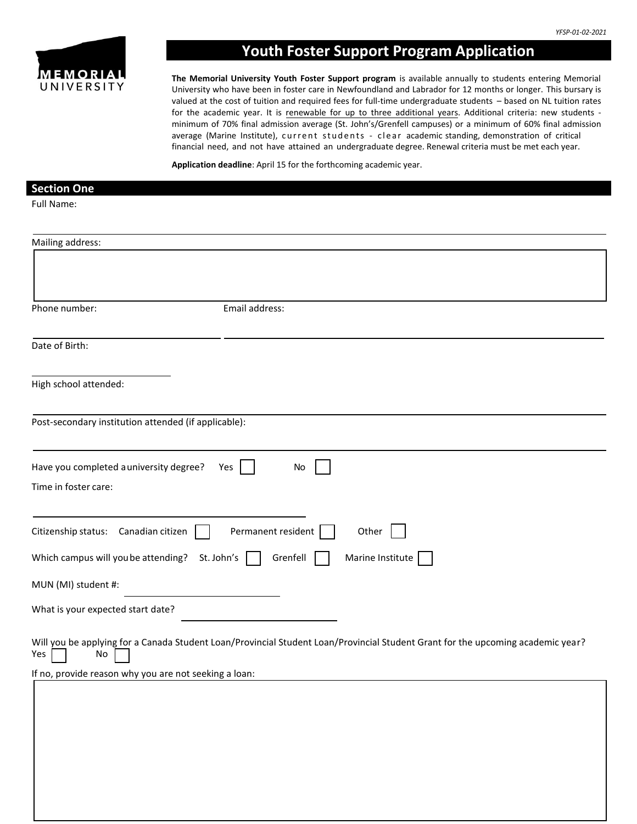

# **Youth Foster Support Program Application**

**The Memorial University Youth Foster Support program** is available annually to students entering Memorial University who have been in foster care in Newfoundland and Labrador for 12 months or longer. This bursary is valued at the cost of tuition and required fees for full-time undergraduate students – based on NL tuition rates for the academic year. It is renewable for up to three additional years. Additional criteria: new students minimum of 70% final admission average (St. John's/Grenfell campuses) or a minimum of 60% final admission average (Marine Institute), current students - clear academic standing, demonstration of critical financial need, and not have attained an undergraduate degree. Renewal criteria must be met each year.

**Application deadline**: April 15 for the forthcoming academic year.

### **Section One**

Full Name:

| Mailing address:                                                                  |                                                                                                                                 |  |  |  |
|-----------------------------------------------------------------------------------|---------------------------------------------------------------------------------------------------------------------------------|--|--|--|
|                                                                                   |                                                                                                                                 |  |  |  |
|                                                                                   |                                                                                                                                 |  |  |  |
| Phone number:                                                                     | Email address:                                                                                                                  |  |  |  |
| Date of Birth:                                                                    |                                                                                                                                 |  |  |  |
| High school attended:                                                             |                                                                                                                                 |  |  |  |
| Post-secondary institution attended (if applicable):                              |                                                                                                                                 |  |  |  |
| Have you completed a university degree?<br>Time in foster care:                   | Yes<br>No                                                                                                                       |  |  |  |
| Citizenship status: Canadian citizen                                              | Permanent resident<br>Other                                                                                                     |  |  |  |
| Marine Institute<br>Which campus will you be attending?<br>St. John's<br>Grenfell |                                                                                                                                 |  |  |  |
| MUN (MI) student #:                                                               |                                                                                                                                 |  |  |  |
| What is your expected start date?                                                 |                                                                                                                                 |  |  |  |
| No<br>Yes                                                                         | Will you be applying for a Canada Student Loan/Provincial Student Loan/Provincial Student Grant for the upcoming academic year? |  |  |  |
| If no, provide reason why you are not seeking a loan:                             |                                                                                                                                 |  |  |  |
|                                                                                   |                                                                                                                                 |  |  |  |